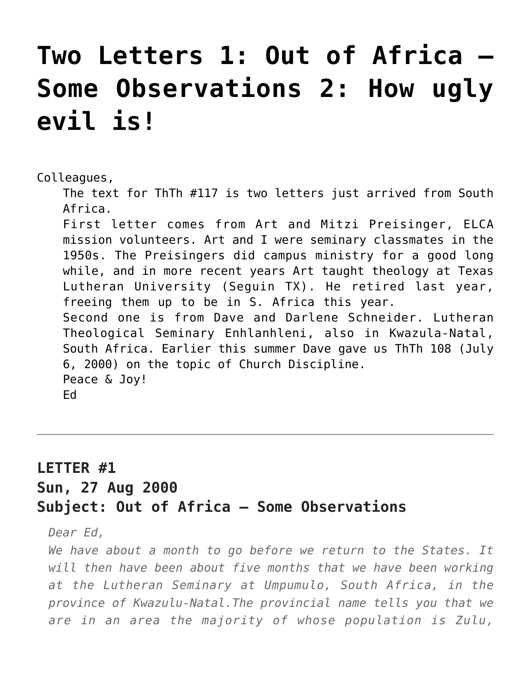## **[Two Letters 1: Out of Africa —](https://crossings.org/two-letters-1-out-of-africa-some-observations-2-how-ugly-evil-is/) [Some Observations 2: How ugly](https://crossings.org/two-letters-1-out-of-africa-some-observations-2-how-ugly-evil-is/) [evil is!](https://crossings.org/two-letters-1-out-of-africa-some-observations-2-how-ugly-evil-is/)**

Colleagues,

The text for ThTh #117 is two letters just arrived from South Africa.

First letter comes from Art and Mitzi Preisinger, ELCA mission volunteers. Art and I were seminary classmates in the 1950s. The Preisingers did campus ministry for a good long while, and in more recent years Art taught theology at Texas Lutheran University (Seguin TX). He retired last year, freeing them up to be in S. Africa this year. Second one is from Dave and Darlene Schneider. Lutheran Theological Seminary Enhlanhleni, also in Kwazula-Natal, South Africa. Earlier this summer Dave gave us ThTh 108 (July 6, 2000) on the topic of Church Discipline. Peace & Joy! Ed

## **LETTER #1 Sun, 27 Aug 2000 Subject: Out of Africa — Some Observations**

*Dear Ed,*

*We have about a month to go before we return to the States. It will then have been about five months that we have been working at the Lutheran Seminary at Umpumulo, South Africa, in the province of Kwazulu-Natal.The provincial name tells you that we are in an area the majority of whose population is Zulu,*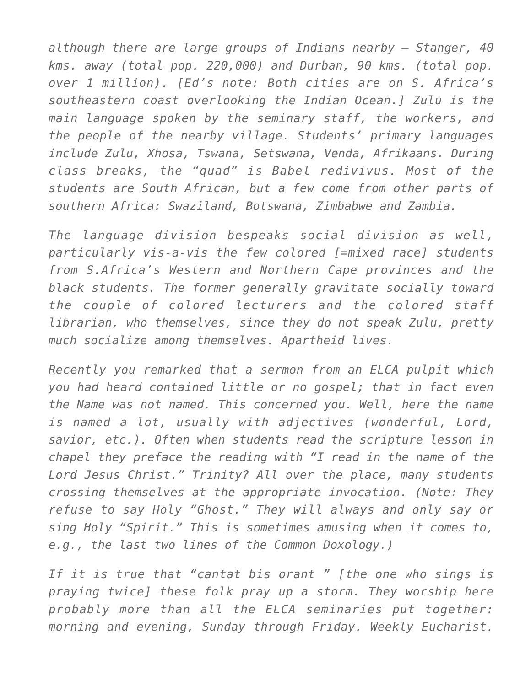*although there are large groups of Indians nearby – Stanger, 40 kms. away (total pop. 220,000) and Durban, 90 kms. (total pop. over 1 million). [Ed's note: Both cities are on S. Africa's southeastern coast overlooking the Indian Ocean.] Zulu is the main language spoken by the seminary staff, the workers, and the people of the nearby village. Students' primary languages include Zulu, Xhosa, Tswana, Setswana, Venda, Afrikaans. During class breaks, the "quad" is Babel redivivus. Most of the students are South African, but a few come from other parts of southern Africa: Swaziland, Botswana, Zimbabwe and Zambia.*

*The language division bespeaks social division as well, particularly vis-a-vis the few colored [=mixed race] students from S.Africa's Western and Northern Cape provinces and the black students. The former generally gravitate socially toward the couple of colored lecturers and the colored staff librarian, who themselves, since they do not speak Zulu, pretty much socialize among themselves. Apartheid lives.*

*Recently you remarked that a sermon from an ELCA pulpit which you had heard contained little or no gospel; that in fact even the Name was not named. This concerned you. Well, here the name is named a lot, usually with adjectives (wonderful, Lord, savior, etc.). Often when students read the scripture lesson in chapel they preface the reading with "I read in the name of the Lord Jesus Christ." Trinity? All over the place, many students crossing themselves at the appropriate invocation. (Note: They refuse to say Holy "Ghost." They will always and only say or sing Holy "Spirit." This is sometimes amusing when it comes to, e.g., the last two lines of the Common Doxology.)*

*If it is true that "cantat bis orant " [the one who sings is praying twice] these folk pray up a storm. They worship here probably more than all the ELCA seminaries put together: morning and evening, Sunday through Friday. Weekly Eucharist.*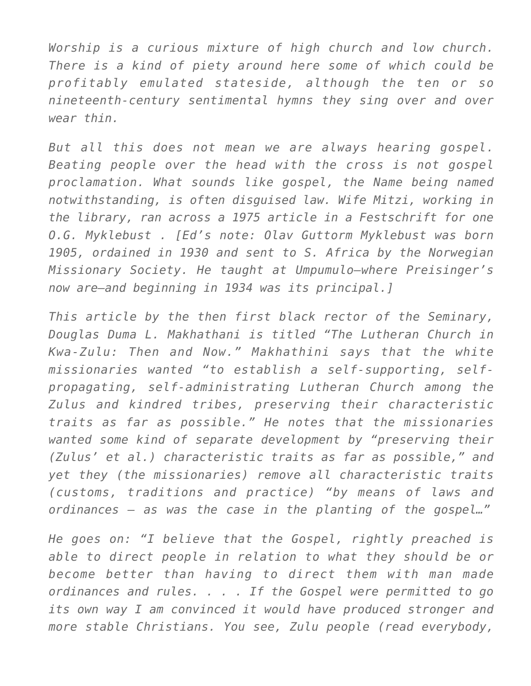*Worship is a curious mixture of high church and low church. There is a kind of piety around here some of which could be profitably emulated stateside, although the ten or so nineteenth-century sentimental hymns they sing over and over wear thin.*

*But all this does not mean we are always hearing gospel. Beating people over the head with the cross is not gospel proclamation. What sounds like gospel, the Name being named notwithstanding, is often disguised law. Wife Mitzi, working in the library, ran across a 1975 article in a Festschrift for one O.G. Myklebust . [Ed's note: Olav Guttorm Myklebust was born 1905, ordained in 1930 and sent to S. Africa by the Norwegian Missionary Society. He taught at Umpumulo–where Preisinger's now are–and beginning in 1934 was its principal.]*

*This article by the then first black rector of the Seminary, Douglas Duma L. Makhathani is titled "The Lutheran Church in Kwa-Zulu: Then and Now." Makhathini says that the white missionaries wanted "to establish a self-supporting, selfpropagating, self-administrating Lutheran Church among the Zulus and kindred tribes, preserving their characteristic traits as far as possible." He notes that the missionaries wanted some kind of separate development by "preserving their (Zulus' et al.) characteristic traits as far as possible," and yet they (the missionaries) remove all characteristic traits (customs, traditions and practice) "by means of laws and ordinances – as was the case in the planting of the gospel…"*

*He goes on: "I believe that the Gospel, rightly preached is able to direct people in relation to what they should be or become better than having to direct them with man made ordinances and rules. . . . If the Gospel were permitted to go its own way I am convinced it would have produced stronger and more stable Christians. You see, Zulu people (read everybody,*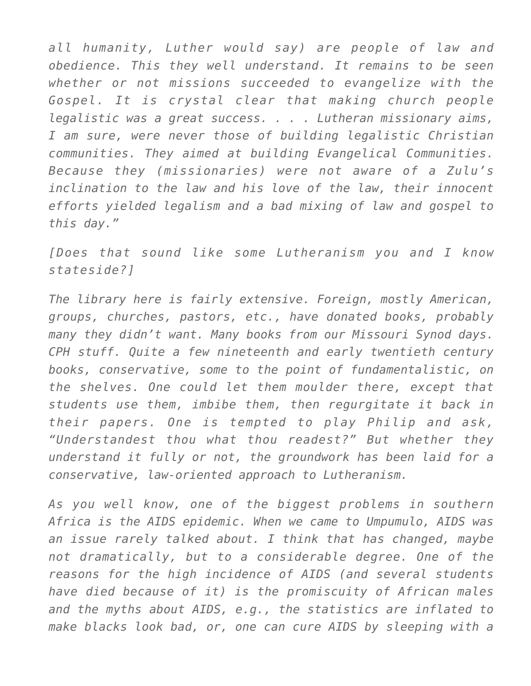*all humanity, Luther would say) are people of law and obedience. This they well understand. It remains to be seen whether or not missions succeeded to evangelize with the Gospel. It is crystal clear that making church people legalistic was a great success. . . . Lutheran missionary aims, I am sure, were never those of building legalistic Christian communities. They aimed at building Evangelical Communities. Because they (missionaries) were not aware of a Zulu's inclination to the law and his love of the law, their innocent efforts yielded legalism and a bad mixing of law and gospel to this day."*

*[Does that sound like some Lutheranism you and I know stateside?]*

*The library here is fairly extensive. Foreign, mostly American, groups, churches, pastors, etc., have donated books, probably many they didn't want. Many books from our Missouri Synod days. CPH stuff. Quite a few nineteenth and early twentieth century books, conservative, some to the point of fundamentalistic, on the shelves. One could let them moulder there, except that students use them, imbibe them, then regurgitate it back in their papers. One is tempted to play Philip and ask, "Understandest thou what thou readest?" But whether they understand it fully or not, the groundwork has been laid for a conservative, law-oriented approach to Lutheranism.*

*As you well know, one of the biggest problems in southern Africa is the AIDS epidemic. When we came to Umpumulo, AIDS was an issue rarely talked about. I think that has changed, maybe not dramatically, but to a considerable degree. One of the reasons for the high incidence of AIDS (and several students have died because of it) is the promiscuity of African males and the myths about AIDS, e.g., the statistics are inflated to make blacks look bad, or, one can cure AIDS by sleeping with a*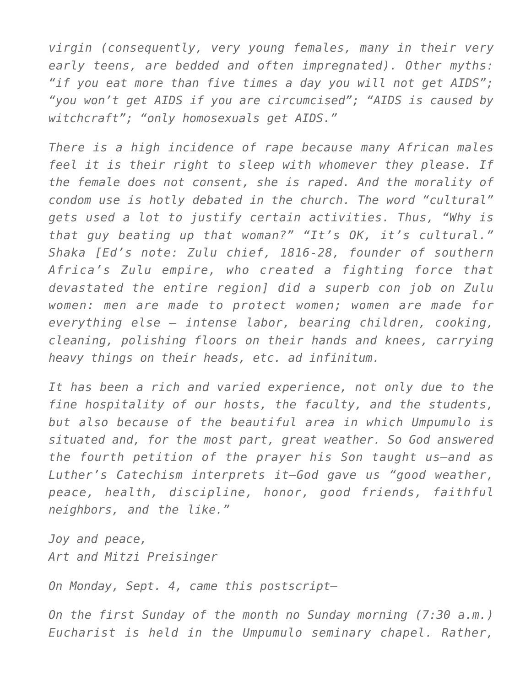*virgin (consequently, very young females, many in their very early teens, are bedded and often impregnated). Other myths: "if you eat more than five times a day you will not get AIDS"; "you won't get AIDS if you are circumcised"; "AIDS is caused by witchcraft"; "only homosexuals get AIDS."*

*There is a high incidence of rape because many African males feel it is their right to sleep with whomever they please. If the female does not consent, she is raped. And the morality of condom use is hotly debated in the church. The word "cultural" gets used a lot to justify certain activities. Thus, "Why is that guy beating up that woman?" "It's OK, it's cultural." Shaka [Ed's note: Zulu chief, 1816-28, founder of southern Africa's Zulu empire, who created a fighting force that devastated the entire region] did a superb con job on Zulu women: men are made to protect women; women are made for everything else – intense labor, bearing children, cooking, cleaning, polishing floors on their hands and knees, carrying heavy things on their heads, etc. ad infinitum.*

*It has been a rich and varied experience, not only due to the fine hospitality of our hosts, the faculty, and the students, but also because of the beautiful area in which Umpumulo is situated and, for the most part, great weather. So God answered the fourth petition of the prayer his Son taught us–and as Luther's Catechism interprets it–God gave us "good weather, peace, health, discipline, honor, good friends, faithful neighbors, and the like."*

*Joy and peace, Art and Mitzi Preisinger*

*On Monday, Sept. 4, came this postscript–*

*On the first Sunday of the month no Sunday morning (7:30 a.m.) Eucharist is held in the Umpumulo seminary chapel. Rather,*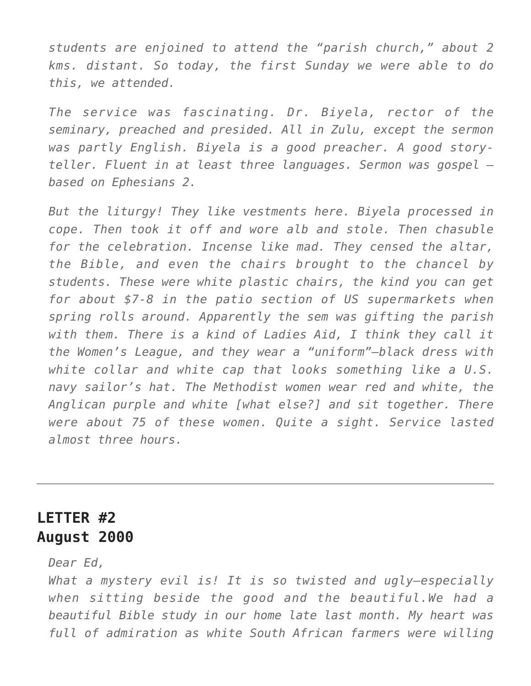*students are enjoined to attend the "parish church," about 2 kms. distant. So today, the first Sunday we were able to do this, we attended.*

*The service was fascinating. Dr. Biyela, rector of the seminary, preached and presided. All in Zulu, except the sermon was partly English. Biyela is a good preacher. A good storyteller. Fluent in at least three languages. Sermon was gospel based on Ephesians 2.*

*But the liturgy! They like vestments here. Biyela processed in cope. Then took it off and wore alb and stole. Then chasuble for the celebration. Incense like mad. They censed the altar, the Bible, and even the chairs brought to the chancel by students. These were white plastic chairs, the kind you can get for about \$7-8 in the patio section of US supermarkets when spring rolls around. Apparently the sem was gifting the parish with them. There is a kind of Ladies Aid, I think they call it the Women's League, and they wear a "uniform"–black dress with white collar and white cap that looks something like a U.S. navy sailor's hat. The Methodist women wear red and white, the Anglican purple and white [what else?] and sit together. There were about 75 of these women. Quite a sight. Service lasted almost three hours.*

## **LETTER #2 August 2000**

*Dear Ed,*

*What a mystery evil is! It is so twisted and ugly–especially when sitting beside the good and the beautiful.We had a beautiful Bible study in our home late last month. My heart was full of admiration as white South African farmers were willing*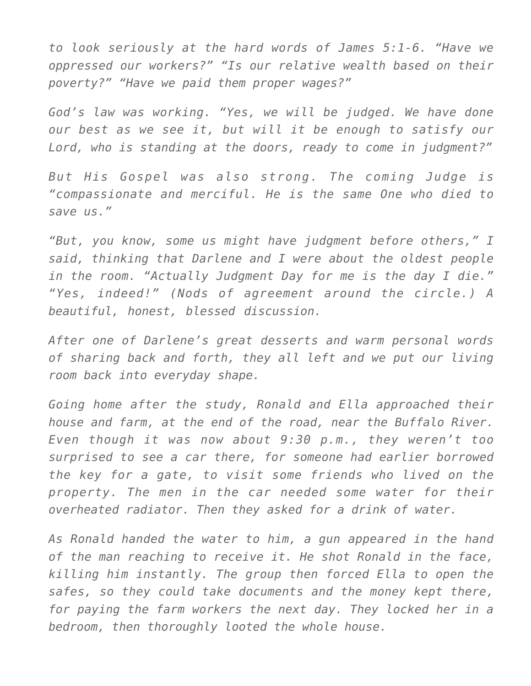*to look seriously at the hard words of James 5:1-6. "Have we oppressed our workers?" "Is our relative wealth based on their poverty?" "Have we paid them proper wages?"*

*God's law was working. "Yes, we will be judged. We have done our best as we see it, but will it be enough to satisfy our Lord, who is standing at the doors, ready to come in judgment?"*

*But His Gospel was also strong. The coming Judge is "compassionate and merciful. He is the same One who died to save us."*

*"But, you know, some us might have judgment before others," I said, thinking that Darlene and I were about the oldest people in the room. "Actually Judgment Day for me is the day I die." "Yes, indeed!" (Nods of agreement around the circle.) A beautiful, honest, blessed discussion.*

*After one of Darlene's great desserts and warm personal words of sharing back and forth, they all left and we put our living room back into everyday shape.*

*Going home after the study, Ronald and Ella approached their house and farm, at the end of the road, near the Buffalo River. Even though it was now about 9:30 p.m., they weren't too surprised to see a car there, for someone had earlier borrowed the key for a gate, to visit some friends who lived on the property. The men in the car needed some water for their overheated radiator. Then they asked for a drink of water.*

*As Ronald handed the water to him, a gun appeared in the hand of the man reaching to receive it. He shot Ronald in the face, killing him instantly. The group then forced Ella to open the safes, so they could take documents and the money kept there, for paying the farm workers the next day. They locked her in a bedroom, then thoroughly looted the whole house.*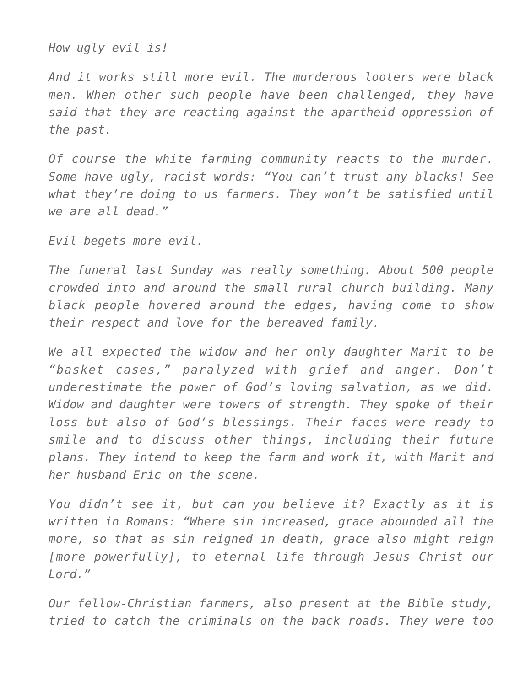*How ugly evil is!*

*And it works still more evil. The murderous looters were black men. When other such people have been challenged, they have said that they are reacting against the apartheid oppression of the past.*

*Of course the white farming community reacts to the murder. Some have ugly, racist words: "You can't trust any blacks! See what they're doing to us farmers. They won't be satisfied until we are all dead."*

*Evil begets more evil.*

*The funeral last Sunday was really something. About 500 people crowded into and around the small rural church building. Many black people hovered around the edges, having come to show their respect and love for the bereaved family.*

*We all expected the widow and her only daughter Marit to be "basket cases," paralyzed with grief and anger. Don't underestimate the power of God's loving salvation, as we did. Widow and daughter were towers of strength. They spoke of their loss but also of God's blessings. Their faces were ready to smile and to discuss other things, including their future plans. They intend to keep the farm and work it, with Marit and her husband Eric on the scene.*

*You didn't see it, but can you believe it? Exactly as it is written in Romans: "Where sin increased, grace abounded all the more, so that as sin reigned in death, grace also might reign [more powerfully], to eternal life through Jesus Christ our Lord."*

*Our fellow-Christian farmers, also present at the Bible study, tried to catch the criminals on the back roads. They were too*